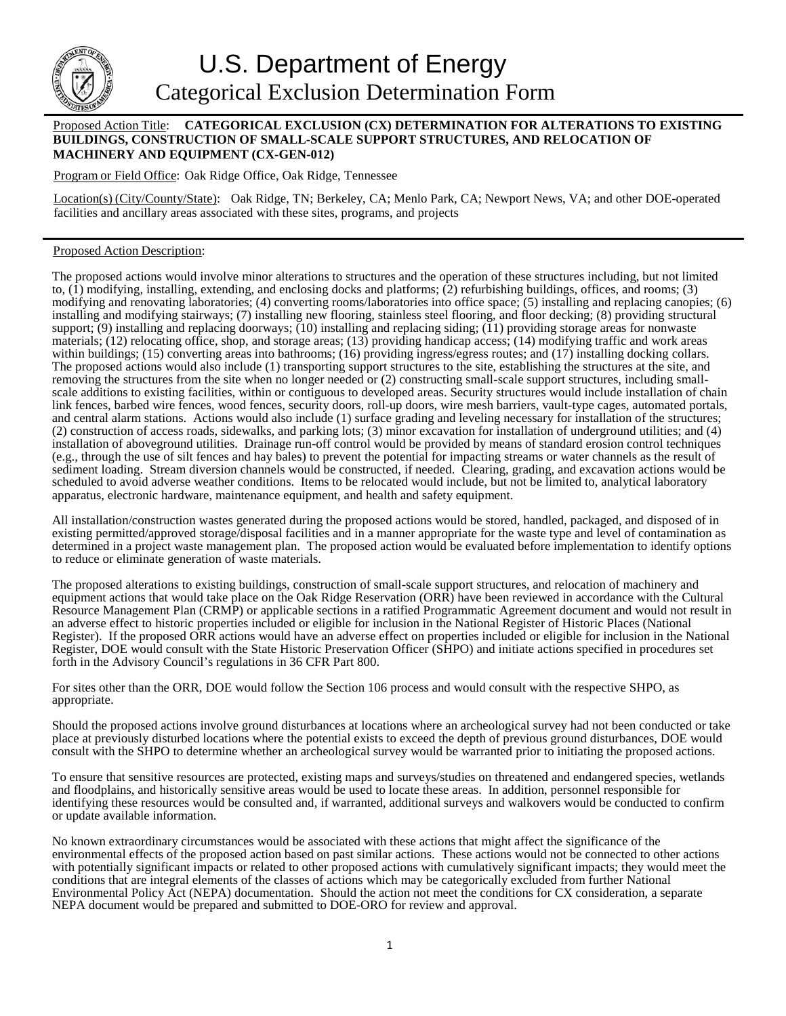

## Proposed Action Title: **CATEGORICAL EXCLUSION (CX) DETERMINATION FOR ALTERATIONS TO EXISTING BUILDINGS, CONSTRUCTION OF SMALL-SCALE SUPPORT STRUCTURES, AND RELOCATION OF MACHINERY AND EQUIPMENT (CX-GEN-012)**

Program or Field Office: Oak Ridge Office, Oak Ridge, Tennessee

Location(s) (City/County/State): Oak Ridge, TN; Berkeley, CA; Menlo Park, CA; Newport News, VA; and other DOE-operated facilities and ancillary areas associated with these sites, programs, and projects

## Proposed Action Description:

The proposed actions would involve minor alterations to structures and the operation of these structures including, but not limited to, (1) modifying, installing, extending, and enclosing docks and platforms; (2) refurbishing buildings, offices, and rooms; (3) modifying and renovating laboratories; (4) converting rooms/laboratories into office space; (5) installing and replacing canopies; (6) installing and modifying stairways; (7) installing new flooring, stainless steel flooring, and floor decking; (8) providing structural support; (9) installing and replacing doorways; (10) installing and replacing siding; (11) providing storage areas for nonwaste materials; (12) relocating office, shop, and storage areas; (13) providing handicap access; (14) modifying traffic and work areas within buildings; (15) converting areas into bathrooms; (16) providing ingress/egress routes; and (17) installing docking collars. The proposed actions would also include (1) transporting support structures to the site, establishing the structures at the site, and removing the structures from the site when no longer needed or (2) constructing small-scale support structures, including smallscale additions to existing facilities, within or contiguous to developed areas. Security structures would include installation of chain link fences, barbed wire fences, wood fences, security doors, roll-up doors, wire mesh barriers, vault-type cages, automated portals, and central alarm stations. Actions would also include (1) surface grading and leveling necessary for installation of the structures; (2) construction of access roads, sidewalks, and parking lots; (3) minor excavation for installation of underground utilities; and (4) installation of aboveground utilities. Drainage run-off control would be provided by means of standard erosion control techniques (e.g., through the use of silt fences and hay bales) to prevent the potential for impacting streams or water channels as the result of sediment loading. Stream diversion channels would be constructed, if needed. Clearing, grading, and excavation actions would be scheduled to avoid adverse weather conditions. Items to be relocated would include, but not be limited to, analytical laboratory apparatus, electronic hardware, maintenance equipment, and health and safety equipment.

All installation/construction wastes generated during the proposed actions would be stored, handled, packaged, and disposed of in existing permitted/approved storage/disposal facilities and in a manner appropriate for the waste type and level of contamination as determined in a project waste management plan. The proposed action would be evaluated before implementation to identify options to reduce or eliminate generation of waste materials.

The proposed alterations to existing buildings, construction of small-scale support structures, and relocation of machinery and equipment actions that would take place on the Oak Ridge Reservation (ORR) have been reviewed in accordance with the Cultural Resource Management Plan (CRMP) or applicable sections in a ratified Programmatic Agreement document and would not result in an adverse effect to historic properties included or eligible for inclusion in the National Register of Historic Places (National Register). If the proposed ORR actions would have an adverse effect on properties included or eligible for inclusion in the National Register, DOE would consult with the State Historic Preservation Officer (SHPO) and initiate actions specified in procedures set forth in the Advisory Council's regulations in 36 CFR Part 800.

For sites other than the ORR, DOE would follow the Section 106 process and would consult with the respective SHPO, as appropriate.

Should the proposed actions involve ground disturbances at locations where an archeological survey had not been conducted or take place at previously disturbed locations where the potential exists to exceed the depth of previous ground disturbances, DOE would consult with the SHPO to determine whether an archeological survey would be warranted prior to initiating the proposed actions.

To ensure that sensitive resources are protected, existing maps and surveys/studies on threatened and endangered species, wetlands and floodplains, and historically sensitive areas would be used to locate these areas. In addition, personnel responsible for identifying these resources would be consulted and, if warranted, additional surveys and walkovers would be conducted to confirm or update available information.

No known extraordinary circumstances would be associated with these actions that might affect the significance of the environmental effects of the proposed action based on past similar actions. These actions would not be connected to other actions with potentially significant impacts or related to other proposed actions with cumulatively significant impacts; they would meet the conditions that are integral elements of the classes of actions which may be categorically excluded from further National Environmental Policy Act (NEPA) documentation. Should the action not meet the conditions for CX consideration, a separate NEPA document would be prepared and submitted to DOE-ORO for review and approval.